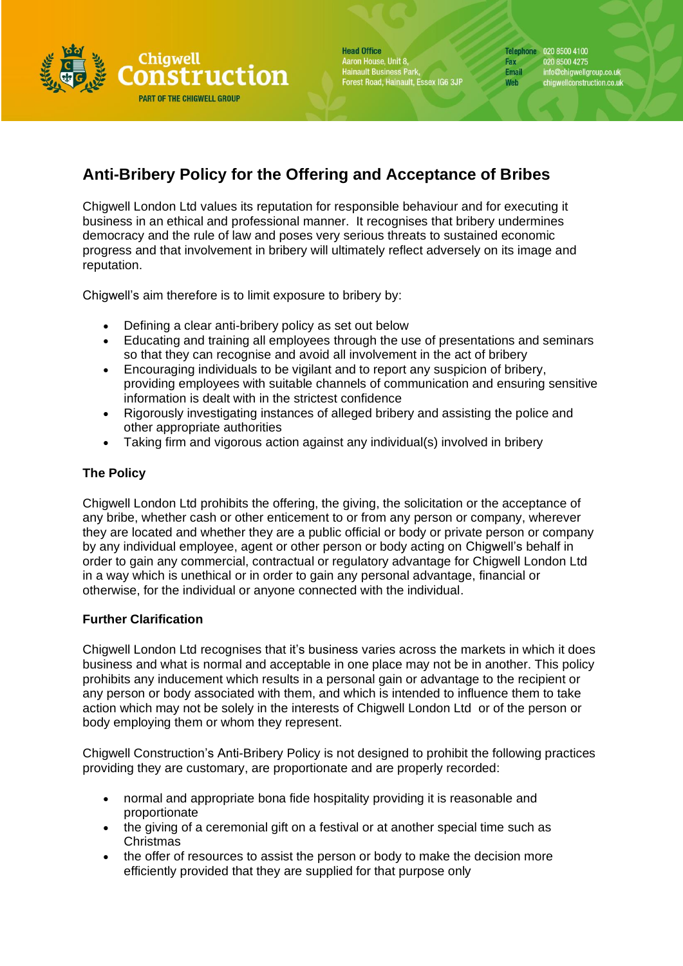

**Head Office** Aaron House, Unit 8, Hainault Business Park,<br>Forest Road, Hainault, Essex IG6 3JP Telephone 020 8500 4100 Fax 020 8500 4275 Email info@chigwellgroup.co.uk<br>chigwellconstruction.co.uk Web

## **Anti-Bribery Policy for the Offering and Acceptance of Bribes**

Chigwell London Ltd values its reputation for responsible behaviour and for executing it business in an ethical and professional manner. It recognises that bribery undermines democracy and the rule of law and poses very serious threats to sustained economic progress and that involvement in bribery will ultimately reflect adversely on its image and reputation.

Chigwell's aim therefore is to limit exposure to bribery by:

- Defining a clear anti-bribery policy as set out below
- Educating and training all employees through the use of presentations and seminars so that they can recognise and avoid all involvement in the act of bribery
- Encouraging individuals to be vigilant and to report any suspicion of bribery, providing employees with suitable channels of communication and ensuring sensitive information is dealt with in the strictest confidence
- Rigorously investigating instances of alleged bribery and assisting the police and other appropriate authorities
- Taking firm and vigorous action against any individual(s) involved in bribery

## **The Policy**

Chigwell London Ltd prohibits the offering, the giving, the solicitation or the acceptance of any bribe, whether cash or other enticement to or from any person or company, wherever they are located and whether they are a public official or body or private person or company by any individual employee, agent or other person or body acting on Chigwell's behalf in order to gain any commercial, contractual or regulatory advantage for Chigwell London Ltd in a way which is unethical or in order to gain any personal advantage, financial or otherwise, for the individual or anyone connected with the individual.

## **Further Clarification**

Chigwell London Ltd recognises that it's business varies across the markets in which it does business and what is normal and acceptable in one place may not be in another. This policy prohibits any inducement which results in a personal gain or advantage to the recipient or any person or body associated with them, and which is intended to influence them to take action which may not be solely in the interests of Chigwell London Ltd or of the person or body employing them or whom they represent.

Chigwell Construction's Anti-Bribery Policy is not designed to prohibit the following practices providing they are customary, are proportionate and are properly recorded:

- normal and appropriate bona fide hospitality providing it is reasonable and proportionate
- the giving of a ceremonial gift on a festival or at another special time such as Christmas
- the offer of resources to assist the person or body to make the decision more efficiently provided that they are supplied for that purpose only